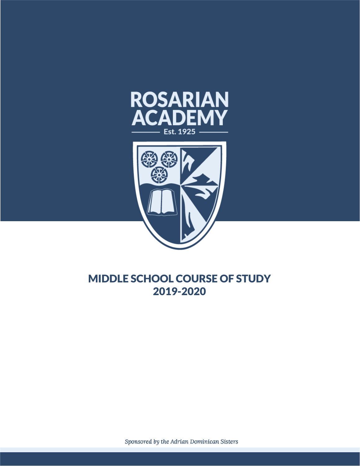



# MIDDLE SCHOOL COURSE OF STUDY 2019-2020

Sponsored by the Adrian Dominican Sisters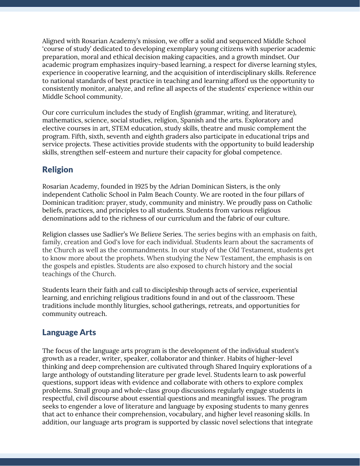Aligned with Rosarian Academy's mission, we offer a solid and sequenced Middle School 'course of study' dedicated to developing exemplary young citizens with superior academic preparation, moral and ethical decision making capacities, and a growth mindset. Our academic program emphasizes inquiry-based learning, a respect for diverse learning styles, experience in cooperative learning, and the acquisition of interdisciplinary skills. Reference to national standards of best practice in teaching and learning afford us the opportunity to consistently monitor, analyze, and refine all aspects of the students' experience within our Middle School community.

Our core curriculum includes the study of English (grammar, writing, and literature), mathematics, science, social studies, religion, Spanish and the arts. Exploratory and elective courses in art, STEM education, study skills, theatre and music complement the program. Fifth, sixth, seventh and eighth graders also participate in educational trips and service projects. These activities provide students with the opportunity to build leadership skills, strengthen self-esteem and nurture their capacity for global competence.

## Religion

Rosarian Academy, founded in 1925 by the Adrian Dominican Sisters, is the only independent Catholic School in Palm Beach County. We are rooted in the four pillars of Dominican tradition: prayer, study, community and ministry. We proudly pass on Catholic beliefs, practices, and principles to all students. Students from various religious denominations add to the richness of our curriculum and the fabric of our culture.

Religion classes use Sadlier's *We Believe* Series. The series begins with an emphasis on faith, family, creation and God's love for each individual. Students learn about the sacraments of the Church as well as the commandments. In our study of the Old Testament, students get to know more about the prophets. When studying the New Testament, the emphasis is on the gospels and epistles. Students are also exposed to church history and the social teachings of the Church.

Students learn their faith and call to discipleship through acts of service, experiential learning, and enriching religious traditions found in and out of the classroom. These traditions include monthly liturgies, school gatherings, retreats, and opportunities for community outreach.

## Language Arts

The focus of the language arts program is the development of the individual student's growth as a reader, writer, speaker, collaborator and thinker. Habits of higher-level thinking and deep comprehension are cultivated through Shared Inquiry explorations of a large anthology of outstanding literature per grade level. Students learn to ask powerful questions, support ideas with evidence and collaborate with others to explore complex problems. Small group and whole-class group discussions regularly engage students in respectful, civil discourse about essential questions and meaningful issues. The program seeks to engender a love of literature and language by exposing students to many genres that act to enhance their comprehension, vocabulary, and higher level reasoning skills. In addition, our language arts program is supported by classic novel selections that integrate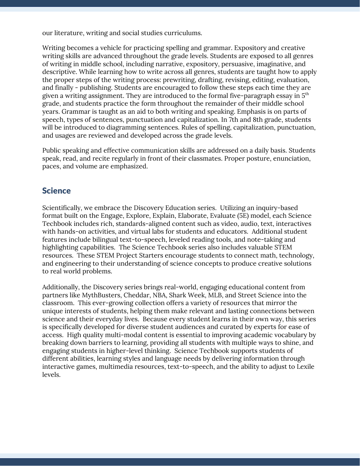our literature, writing and social studies curriculums.

Writing becomes a vehicle for practicing spelling and grammar. Expository and creative writing skills are advanced throughout the grade levels. Students are exposed to all genres of writing in middle school, including narrative, expository, persuasive, imaginative, and descriptive. While learning how to write across all genres, students are taught how to apply the proper steps of the writing process: prewriting, drafting, revising, editing, evaluation, and finally - publishing. Students are encouraged to follow these steps each time they are given a writing assignment. They are introduced to the formal five-paragraph essay in  $5^{\rm th}$ grade, and students practice the form throughout the remainder of their middle school years. Grammar is taught as an aid to both writing and speaking. Emphasis is on parts of speech, types of sentences, punctuation and capitalization. In 7th and 8th grade, students will be introduced to diagramming sentences. Rules of spelling, capitalization, punctuation, and usages are reviewed and developed across the grade levels.

Public speaking and effective communication skills are addressed on a daily basis. Students speak, read, and recite regularly in front of their classmates. Proper posture, enunciation, paces, and volume are emphasized.

#### **Science**

Scientifically, we embrace the Discovery Education series. Utilizing an inquiry-based format built on the Engage, Explore, Explain, Elaborate, Evaluate (5E) model, each Science Techbook includes rich, standards-aligned content such as video, audio, text, interactives with hands-on activities, and virtual labs for students and educators. Additional student features include bilingual text-to-speech, leveled reading tools, and note-taking and highlighting capabilities. The Science Techbook series also includes valuable STEM resources. These STEM Project Starters encourage students to connect math, technology, and engineering to their understanding of science concepts to produce creative solutions to real world problems.

Additionally, the Discovery series brings real-world, engaging educational content from partners like MythBusters, Cheddar, NBA, Shark Week, MLB, and Street Science into the classroom. This ever-growing collection offers a variety of resources that mirror the unique interests of students, helping them make relevant and lasting connections between science and their everyday lives. Because every student learns in their own way, this series is specifically developed for diverse student audiences and curated by experts for ease of access. High quality multi-modal content is essential to improving academic vocabulary by breaking down barriers to learning, providing all students with multiple ways to shine, and engaging students in higher-level thinking. Science Techbook supports students of different abilities, learning styles and language needs by delivering information through interactive games, multimedia resources, text-to-speech, and the ability to adjust to Lexile levels.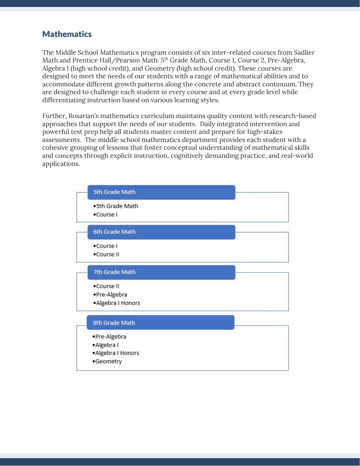### **Mathematics**

The Middle School Mathematics program consists of six inter-related courses from Sadlier Math and Prentice Hall/Pearson Math: 5<sup>th</sup> Grade Math, Course 1, Course 2, Pre-Algebra, Algebra I (high school credit), and Geometry (high school credit). These courses are designed to meet the needs of our students with a range of mathematical abilities and to accommodate different growth patterns along the concrete and abstract continuum. They are designed to challenge each student in every course and at every grade level while differentiating instruction based on various learning styles.

Further, Rosarian's mathematics curriculum maintains quality content with research-based approaches that support the needs of our students. Daily integrated intervention and powerful test prep help all students master content and prepare for high-stakes assessments. The middle school mathematics department provides each student with a cohesive grouping of lessons that foster conceptual understanding of mathematical skills and concepts through explicit instruction, cognitively demanding practice, and real-world applications.

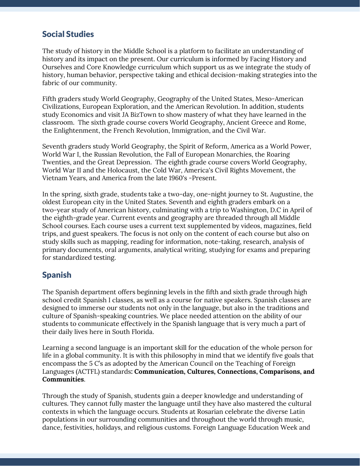## Social Studies

The study of history in the Middle School is a platform to facilitate an understanding of history and its impact on the present. Our curriculum is informed by Facing History and Ourselves and Core Knowledge curriculum which support us as we integrate the study of history, human behavior, perspective taking and ethical decision-making strategies into the fabric of our community.

Fifth graders study World Geography, Geography of the United States, Meso-American Civilizations, European Exploration, and the American Revolution. In addition, students study Economics and visit JA BizTown to show mastery of what they have learned in the classroom. The sixth grade course covers World Geography, Ancient Greece and Rome, the Enlightenment, the French Revolution, Immigration, and the Civil War.

Seventh graders study World Geography, the Spirit of Reform, America as a World Power, World War I, the Russian Revolution, the Fall of European Monarchies, the Roaring Twenties, and the Great Depression. The eighth grade course covers World Geography, World War II and the Holocaust, the Cold War, America's Civil Rights Movement, the Vietnam Years, and America from the late 1960's -Present.

In the spring, sixth grade, students take a two-day, one-night journey to St. Augustine, the oldest European city in the United States. Seventh and eighth graders embark on a two-year study of American history, culminating with a trip to Washington, D.C in April of the eighth-grade year. Current events and geography are threaded through all Middle School courses. Each course uses a current text supplemented by videos, magazines, field trips, and guest speakers. The focus is not only on the content of each course but also on study skills such as mapping, reading for information, note-taking, research, analysis of primary documents, oral arguments, analytical writing, studying for exams and preparing for standardized testing.

#### Spanish

The Spanish department offers beginning levels in the fifth and sixth grade through high school credit Spanish I classes, as well as a course for native speakers. Spanish classes are designed to immerse our students not only in the language, but also in the traditions and culture of Spanish-speaking countries. We place needed attention on the ability of our students to communicate effectively in the Spanish language that is very much a part of their daily lives here in South Florida.

Learning a second language is an important skill for the education of the whole person for life in a global community. It is with this philosophy in mind that we identify five goals that encompass the 5 C's as adopted by the American Council on the Teaching of Foreign Languages (ACTFL) standards**: Communication, Cultures, Connections, Comparisons, and Communities**.

Through the study of Spanish, students gain a deeper knowledge and understanding of cultures. They cannot fully master the language until they have also mastered the cultural contexts in which the language occurs. Students at Rosarian celebrate the diverse Latin populations in our surrounding communities and throughout the world through music, dance, festivities, holidays, and religious customs. Foreign Language Education Week and